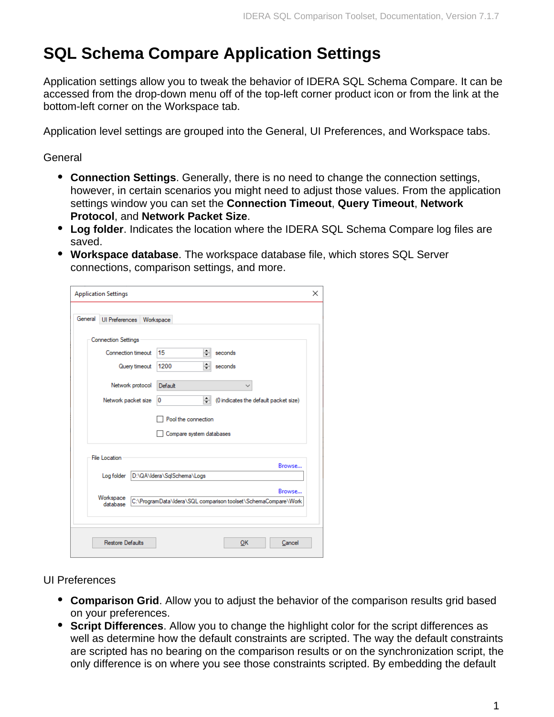## **SQL Schema Compare Application Settings**

Application settings allow you to tweak the behavior of IDERA SQL Schema Compare. It can be accessed from the drop-down menu off of the top-left corner product icon or from the link at the bottom-left corner on the Workspace tab.

Application level settings are grouped into the General, UI Preferences, and Workspace tabs.

General

- **Connection Settings**. Generally, there is no need to change the connection settings, however, in certain scenarios you might need to adjust those values. From the application settings window you can set the **Connection Timeout**, **Query Timeout**, **Network Protocol**, and **Network Packet Size**.
- **Log folder**. Indicates the location where the IDERA SQL Schema Compare log files are saved.
- **Workspace database**. The workspace database file, which stores SQL Server connections, comparison settings, and more.

|         | <b>Application Settings</b>                                                           | $\times$ |
|---------|---------------------------------------------------------------------------------------|----------|
| General | <b>UI Preferences</b><br>Workspace                                                    |          |
|         | <b>Connection Settings</b>                                                            |          |
|         | ÷<br>15<br>Connection timeout<br>seconds                                              |          |
|         | ÷<br>1200<br>Query timeout<br>seconds                                                 |          |
|         | Network protocol<br>Default                                                           |          |
|         | ÷۱<br>0<br>Network packet size<br>(0 indicates the default packet size)               |          |
|         | Pool the connection                                                                   |          |
|         | Compare system databases                                                              |          |
|         | <b>File Location</b><br>Browse                                                        |          |
|         | D:\QA\Idera\SqlSchema\Logs<br>Log folder                                              |          |
|         | Browse<br>Workspace<br>C:\ProgramData\Idera\SQL comparison toolset\SchemaCompare\Work |          |
|         | database                                                                              |          |
|         |                                                                                       |          |
|         | <b>Restore Defaults</b><br>Cancel<br>OK                                               |          |

UI Preferences

- **Comparison Grid**. Allow you to adjust the behavior of the comparison results grid based on your preferences.
- **Script Differences**. Allow you to change the highlight color for the script differences as well as determine how the default constraints are scripted. The way the default constraints are scripted has no bearing on the comparison results or on the synchronization script, the only difference is on where you see those constraints scripted. By embedding the default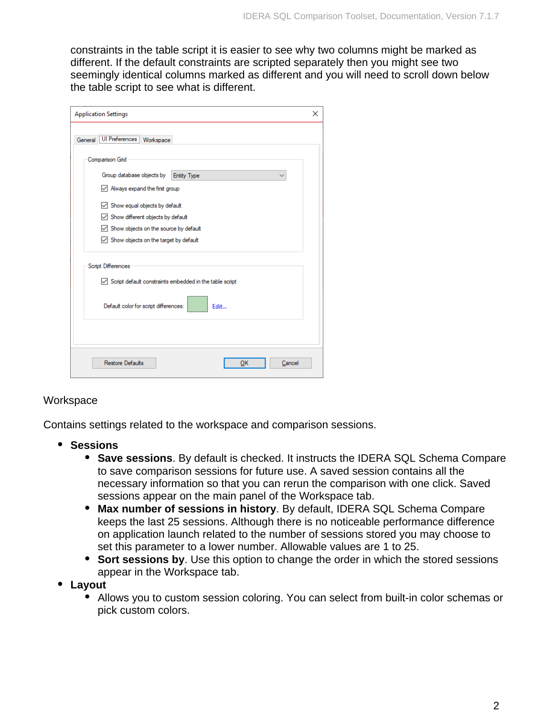constraints in the table script it is easier to see why two columns might be marked as different. If the default constraints are scripted separately then you might see two seemingly identical columns marked as different and you will need to scroll down below the table script to see what is different.

| <b>Application Settings</b>                                                                        | × |
|----------------------------------------------------------------------------------------------------|---|
| General UI Preferences<br>Workspace                                                                |   |
| Comparison Grid                                                                                    |   |
| Group database objects by<br><b>Entity Type</b>                                                    |   |
| $\sqrt{\phantom{a}}$ Always expand the first group                                                 |   |
| $\sqrt{\phantom{a}}$ Show equal objects by default                                                 |   |
| $\sqrt{\phantom{a}}$ Show different objects by default                                             |   |
| Show objects on the source by default                                                              |   |
| $\vee$ Show objects on the target by default                                                       |   |
| Script Differences<br>$\sqrt{\phantom{a}}$ Script default constraints embedded in the table script |   |
| Default color for script differences:<br>Edit                                                      |   |
|                                                                                                    |   |
| <b>Restore Defaults</b><br>Cancel<br>ок                                                            |   |

## **Workspace**

Contains settings related to the workspace and comparison sessions.

- **Sessions**
	- **Save sessions**. By default is checked. It instructs the IDERA SQL Schema Compare to save comparison sessions for future use. A saved session contains all the necessary information so that you can rerun the comparison with one click. Saved sessions appear on the main panel of the Workspace tab.
	- **Max number of sessions in history**. By default, IDERA SQL Schema Compare keeps the last 25 sessions. Although there is no noticeable performance difference on application launch related to the number of sessions stored you may choose to set this parameter to a lower number. Allowable values are 1 to 25.
	- **Sort sessions by**. Use this option to change the order in which the stored sessions appear in the Workspace tab.
- **Layout**
	- Allows you to custom session coloring. You can select from built-in color schemas or pick custom colors.